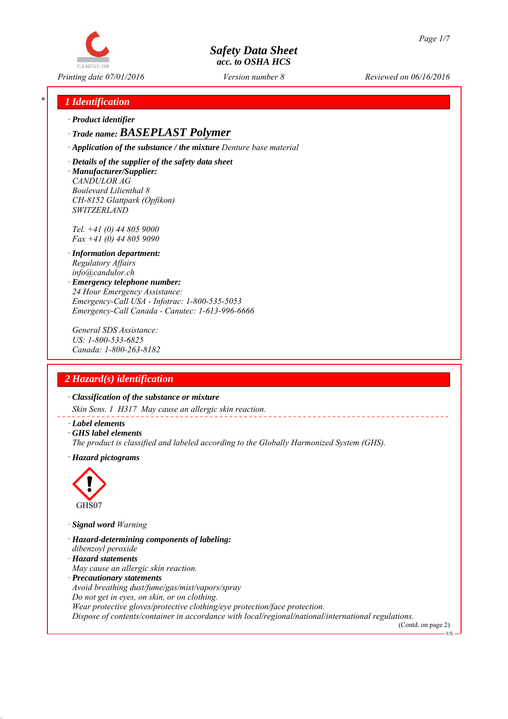

*Printing date 07/01/2016 Reviewed on 06/16/2016 Version number 8*

## *\* 1 Identification*

*∙ Product identifier*

*∙ Trade name: BASEPLAST Polymer*

*∙ Application of the substance / the mixture Denture base material*

*∙ Details of the supplier of the safety data sheet ∙ Manufacturer/Supplier: CANDULOR AG Boulevard Lilienthal 8 CH-8152 Glattpark (Opfikon) SWITZERLAND*

*Tel. +41 (0) 44 805 9000 Fax +41 (0) 44 805 9090*

- *∙ Information department: Regulatory Affairs info@candulor.ch*
- *∙ Emergency telephone number: 24 Hour Emergency Assistance: Emergency-Call USA - Infotrac: 1-800-535-5053 Emergency-Call Canada - Canutec: 1-613-996-6666*

*General SDS Assistance: US: 1-800-533-6825 Canada: 1-800-263-8182*

## *2 Hazard(s) identification*

*∙ Classification of the substance or mixture*

*Skin Sens. 1 H317 May cause an allergic skin reaction.*

- *∙ Label elements*
- *∙ GHS label elements*
- *The product is classified and labeled according to the Globally Harmonized System (GHS).*
- *∙ Hazard pictograms*



*∙ Signal word Warning*

- *∙ Hazard-determining components of labeling:*
- *dibenzoyl peroxide*
- *∙ Hazard statements*
- *May cause an allergic skin reaction.*
- *∙ Precautionary statements*

*Avoid breathing dust/fume/gas/mist/vapors/spray*

*Do not get in eyes, on skin, or on clothing.*

*Wear protective gloves/protective clothing/eye protection/face protection.*

*Dispose of contents/container in accordance with local/regional/national/international regulations.*

(Contd. on page 2) **TR**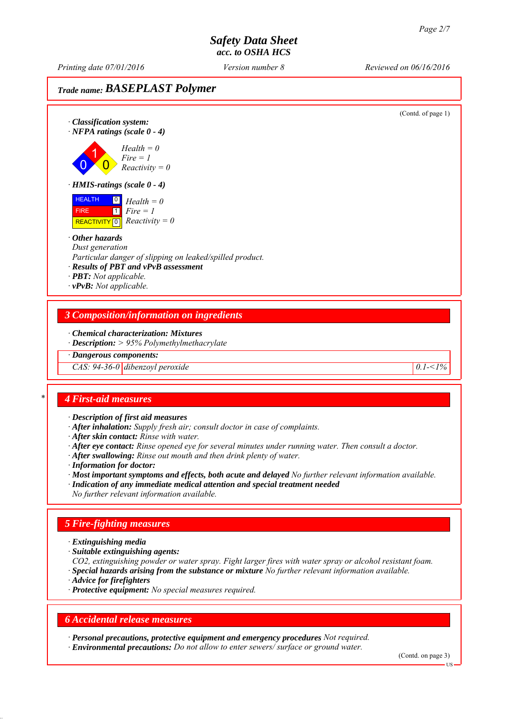*Printing date 07/01/2016 Reviewed on 06/16/2016 Version number 8*

# *Trade name: BASEPLAST Polymer*



*∙ Chemical characterization: Mixtures*

*∙ Description: > 95% Polymethylmethacrylate*

*∙ Dangerous components:*

*CAS:* 94-36-0 dibenzoyl peroxide 0.1-<1%

### *\* 4 First-aid measures*

*∙ Description of first aid measures*

- *∙ After inhalation: Supply fresh air; consult doctor in case of complaints.*
- *∙ After skin contact: Rinse with water.*
- *∙ After eye contact: Rinse opened eye for several minutes under running water. Then consult a doctor.*
- *∙ After swallowing: Rinse out mouth and then drink plenty of water.*
- *∙ Information for doctor:*

*∙ Most important symptoms and effects, both acute and delayed No further relevant information available.*

*∙ Indication of any immediate medical attention and special treatment needed No further relevant information available.*

*5 Fire-fighting measures*

- *∙ Extinguishing media*
- *∙ Suitable extinguishing agents:*
- *CO2, extinguishing powder or water spray. Fight larger fires with water spray or alcohol resistant foam.*
- *∙ Special hazards arising from the substance or mixture No further relevant information available.*
- *∙ Advice for firefighters*
- *∙ Protective equipment: No special measures required.*

### *6 Accidental release measures*

*∙ Personal precautions, protective equipment and emergency procedures Not required. ∙ Environmental precautions: Do not allow to enter sewers/ surface or ground water.*

(Contd. on page 3)

US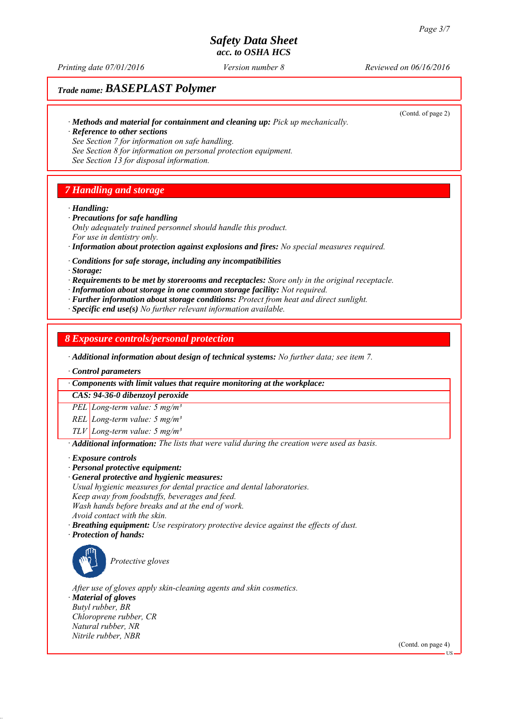*Printing date 07/01/2016 Reviewed on 06/16/2016 Version number 8*

# *Trade name: BASEPLAST Polymer*

*∙ Methods and material for containment and cleaning up: Pick up mechanically.*

(Contd. of page 2)

- *∙ Reference to other sections See Section 7 for information on safe handling.*
- *See Section 8 for information on personal protection equipment.*

*See Section 13 for disposal information.*

# *7 Handling and storage*

*∙ Handling:*

- *∙ Precautions for safe handling*
- *Only adequately trained personnel should handle this product. For use in dentistry only.*
- *∙ Information about protection against explosions and fires: No special measures required.*
- *∙ Conditions for safe storage, including any incompatibilities*
- *∙ Storage:*
- *∙ Requirements to be met by storerooms and receptacles: Store only in the original receptacle.*
- *∙ Information about storage in one common storage facility: Not required.*
- *∙ Further information about storage conditions: Protect from heat and direct sunlight.*
- *∙ Specific end use(s) No further relevant information available.*

## *8 Exposure controls/personal protection*

*∙ Additional information about design of technical systems: No further data; see item 7.*

*∙ Control parameters*

*∙ Components with limit values that require monitoring at the workplace:*

*CAS: 94-36-0 dibenzoyl peroxide*

*PEL Long-term value: 5 mg/m³*

*REL Long-term value: 5 mg/m³*

*TLV Long-term value: 5 mg/m³*

*∙ Additional information: The lists that were valid during the creation were used as basis.*

### *∙ Exposure controls*

- *∙ Personal protective equipment:*
- *∙ General protective and hygienic measures:*
- *Usual hygienic measures for dental practice and dental laboratories.*

*Keep away from foodstuffs, beverages and feed.*

*Wash hands before breaks and at the end of work.*

- *Avoid contact with the skin. ∙ Breathing equipment: Use respiratory protective device against the effects of dust.*
- *∙ Protection of hands:*



*Protective gloves*

*After use of gloves apply skin-cleaning agents and skin cosmetics. ∙ Material of gloves Butyl rubber, BR Chloroprene rubber, CR Natural rubber, NR Nitrile rubber, NBR*

(Contd. on page 4)

US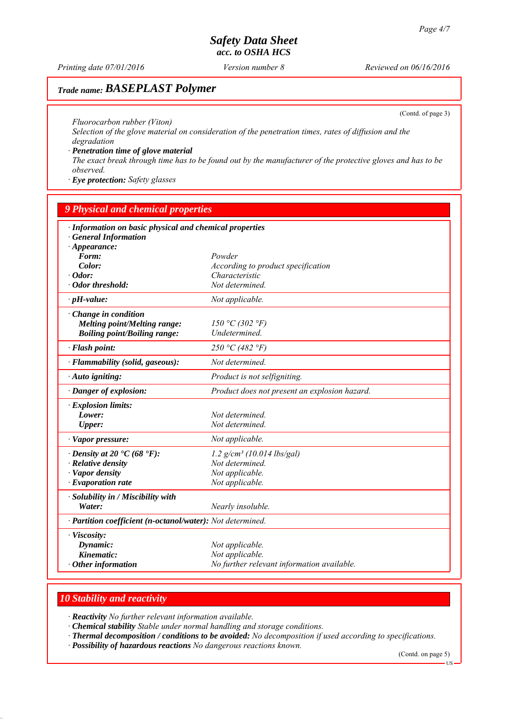*Printing date 07/01/2016 Reviewed on 06/16/2016 Version number 8*

# *Trade name: BASEPLAST Polymer*

(Contd. of page 3)

*Fluorocarbon rubber (Viton)*

*Selection of the glove material on consideration of the penetration times, rates of diffusion and the degradation*

*∙ Penetration time of glove material*

*The exact break through time has to be found out by the manufacturer of the protective gloves and has to be observed.*

*∙ Eye protection: Safety glasses*

| <b>9 Physical and chemical properties</b>                                                                    |                                               |  |  |  |  |
|--------------------------------------------------------------------------------------------------------------|-----------------------------------------------|--|--|--|--|
| · Information on basic physical and chemical properties<br><b>General Information</b><br>$\cdot$ Appearance: |                                               |  |  |  |  |
| Form:                                                                                                        | Powder                                        |  |  |  |  |
| Color:                                                                                                       | According to product specification            |  |  |  |  |
| $\cdot$ Odor:                                                                                                | Characteristic                                |  |  |  |  |
| $\cdot$ Odor threshold:                                                                                      | Not determined.                               |  |  |  |  |
| $\cdot$ pH-value:                                                                                            | Not applicable.                               |  |  |  |  |
| $\cdot$ Change in condition                                                                                  |                                               |  |  |  |  |
| <b>Melting point/Melting range:</b>                                                                          | 150 °C (302 °F)                               |  |  |  |  |
| <b>Boiling point/Boiling range:</b>                                                                          | Undetermined.                                 |  |  |  |  |
| · Flash point:                                                                                               | 250 °C (482 °F)                               |  |  |  |  |
| · Flammability (solid, gaseous):                                                                             | Not determined.                               |  |  |  |  |
| $\cdot$ Auto igniting:                                                                                       | Product is not selfigniting.                  |  |  |  |  |
| · Danger of explosion:                                                                                       | Product does not present an explosion hazard. |  |  |  |  |
| $\cdot$ Explosion limits:                                                                                    |                                               |  |  |  |  |
| Lower:                                                                                                       | Not determined.                               |  |  |  |  |
| Upper:                                                                                                       | Not determined.                               |  |  |  |  |
| $\cdot$ Vapor pressure:                                                                                      | Not applicable.                               |  |  |  |  |
| $\cdot$ Density at 20 $\cdot$ C (68 $\cdot$ F):                                                              | $1.2$ g/cm <sup>3</sup> (10.014 lbs/gal)      |  |  |  |  |
| · Relative density                                                                                           | Not determined.                               |  |  |  |  |
| · Vapor density                                                                                              | Not applicable.                               |  |  |  |  |
| $\cdot$ Evaporation rate                                                                                     | Not applicable.                               |  |  |  |  |
| · Solubility in / Miscibility with                                                                           |                                               |  |  |  |  |
| Water:                                                                                                       | Nearly insoluble.                             |  |  |  |  |
| · Partition coefficient (n-octanol/water): Not determined.                                                   |                                               |  |  |  |  |
| · Viscosity:                                                                                                 |                                               |  |  |  |  |
| Dynamic:                                                                                                     | Not applicable.                               |  |  |  |  |
| Kinematic:                                                                                                   | Not applicable.                               |  |  |  |  |
| $\cdot$ Other information                                                                                    | No further relevant information available.    |  |  |  |  |

# *10 Stability and reactivity*

*∙ Reactivity No further relevant information available.*

*∙ Chemical stability Stable under normal handling and storage conditions.*

*∙ Thermal decomposition / conditions to be avoided: No decomposition if used according to specifications.*

*∙ Possibility of hazardous reactions No dangerous reactions known.*

(Contd. on page 5)

<sup>&</sup>lt;sup>11</sup>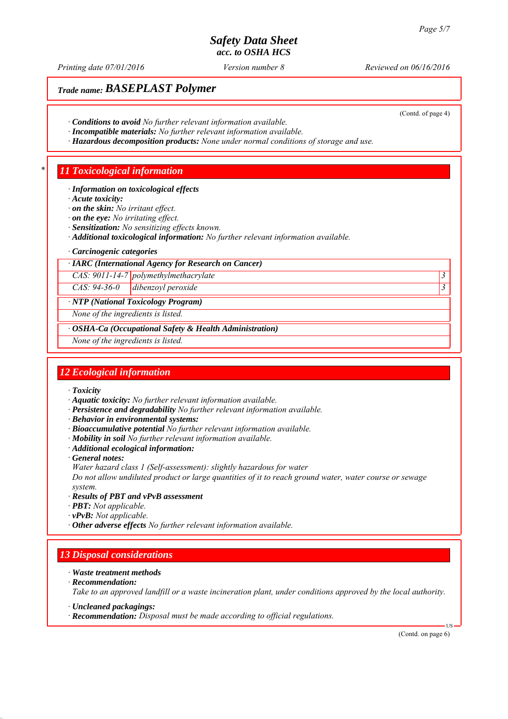*Printing date 07/01/2016 Reviewed on 06/16/2016 Version number 8*

# *Trade name: BASEPLAST Polymer*

(Contd. of page 4)

- *∙ Conditions to avoid No further relevant information available.*
- *∙ Incompatible materials: No further relevant information available.*
- *∙ Hazardous decomposition products: None under normal conditions of storage and use.*

## *\* 11 Toxicological information*

#### *∙ Information on toxicological effects*

- *∙ Acute toxicity:*
- *∙ on the skin: No irritant effect.*
- *∙ on the eye: No irritating effect.*
- *∙ Sensitization: No sensitizing effects known.*
- *∙ Additional toxicological information: No further relevant information available.*
- *∙ Carcinogenic categories*

#### *∙ IARC (International Agency for Research on Cancer)*

*CAS: 9011-14-7 polymethylmethacrylate 3* 

*CAS: 94-36-0 dibenzoyl peroxide 3* 

#### *∙ NTP (National Toxicology Program)*

*None of the ingredients is listed.*

### *∙ OSHA-Ca (Occupational Safety & Health Administration)*

*None of the ingredients is listed.*

### *12 Ecological information*

- *∙ Toxicity*
- *∙ Aquatic toxicity: No further relevant information available.*
- *∙ Persistence and degradability No further relevant information available.*
- *∙ Behavior in environmental systems:*
- *∙ Bioaccumulative potential No further relevant information available.*
- *∙ Mobility in soil No further relevant information available.*
- *∙ Additional ecological information:*
- *∙ General notes:*
- *Water hazard class 1 (Self-assessment): slightly hazardous for water*

*Do not allow undiluted product or large quantities of it to reach ground water, water course or sewage system.*

- *∙ Results of PBT and vPvB assessment*
- *∙ PBT: Not applicable.*
- *∙ vPvB: Not applicable.*
- *∙ Other adverse effects No further relevant information available.*

## *13 Disposal considerations*

- *∙ Waste treatment methods*
- *∙ Recommendation:*

*Take to an approved landfill or a waste incineration plant, under conditions approved by the local authority.*

- *∙ Uncleaned packagings:*
- *∙ Recommendation: Disposal must be made according to official regulations.*

(Contd. on page 6)

US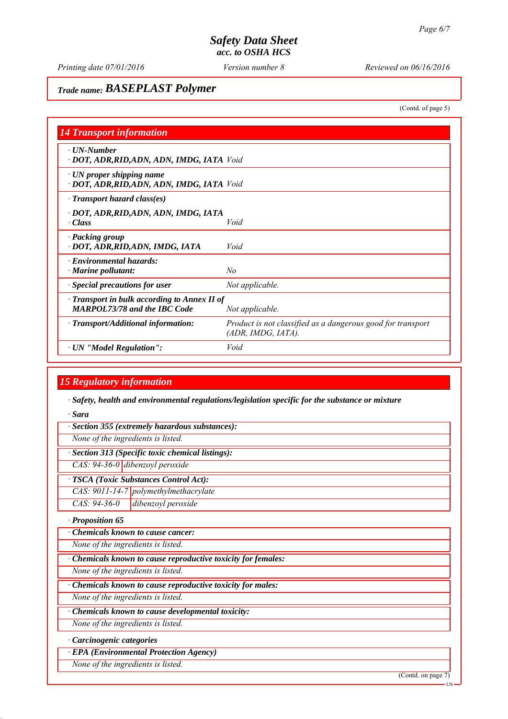## *Trade name: BASEPLAST Polymer*

(Contd. of page 5)

| <b>14 Transport information</b>                                                           |                                                                                   |  |  |
|-------------------------------------------------------------------------------------------|-----------------------------------------------------------------------------------|--|--|
| $\cdot$ UN-Number<br>· DOT, ADR, RID, ADN, ADN, IMDG, IATA Void                           |                                                                                   |  |  |
| · UN proper shipping name<br>· DOT, ADR, RID, ADN, ADN, IMDG, IATA Void                   |                                                                                   |  |  |
| $\cdot$ Transport hazard class(es)                                                        |                                                                                   |  |  |
| · DOT, ADR, RID, ADN, ADN, IMDG, IATA<br>· Class                                          | Void                                                                              |  |  |
| · Packing group<br>· DOT, ADR, RID, ADN, IMDG, IATA                                       | Void                                                                              |  |  |
| · Environmental hazards:<br>$\cdot$ Marine pollutant:                                     | No                                                                                |  |  |
| · Special precautions for user                                                            | Not applicable.                                                                   |  |  |
| $\cdot$ Transport in bulk according to Annex II of<br><b>MARPOL73/78 and the IBC Code</b> | Not applicable.                                                                   |  |  |
| $\cdot$ Transport/Additional information:                                                 | Product is not classified as a dangerous good for transport<br>(ADR, IMDG, IATA). |  |  |
| $\cdot$ UN "Model Regulation":                                                            | Void                                                                              |  |  |

## *15 Regulatory information*

*∙ Safety, health and environmental regulations/legislation specific for the substance or mixture*

*∙ Sara*

|  |  |  |  | · Section 355 (extremely hazardous substances): |
|--|--|--|--|-------------------------------------------------|
|--|--|--|--|-------------------------------------------------|

*None of the ingredients is listed.*

*∙ Section 313 (Specific toxic chemical listings):*

*CAS: 94-36-0 dibenzoyl peroxide*

*∙ TSCA (Toxic Substances Control Act):*

*CAS: 9011-14-7 polymethylmethacrylate*

*CAS: 94-36-0 dibenzoyl peroxide*

*∙ Proposition 65*

*∙ Chemicals known to cause cancer:*

*None of the ingredients is listed.*

*∙ Chemicals known to cause reproductive toxicity for females:*

*None of the ingredients is listed.*

*∙ Chemicals known to cause reproductive toxicity for males:*

*None of the ingredients is listed.*

*∙ Chemicals known to cause developmental toxicity:*

*None of the ingredients is listed.*

*∙ Carcinogenic categories*

*∙ EPA (Environmental Protection Agency)*

*None of the ingredients is listed.*

(Contd. on page 7)